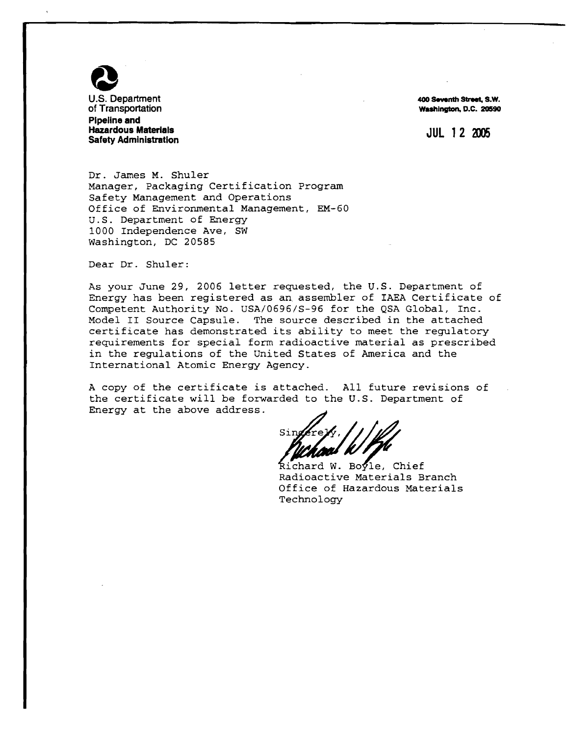

**400 Smnth Street, S.W. Washington, D.C. 20590** 

**JUL 12 2005** 

Dr. James M. Shuler Manager, Packaging Certification Program Safety Management and Operations Office of Environmental Management, EM-60 U.S. Department of Energy 1000 Independence Ave, SW Washington, DC 20585

Dear Dr. Shuler:

As your June 29, 2006 letter requested, the U.S. Department of Energy has been registered as an-assembler of IAEA Certificate of Competent Authority No. USA/0696/S-96 for the QSA Global, Inc.<br>Model II Source Capsule. The source described in the attached The source described in the attached certificate has demonstrated its ability to meet the regulatory requirements for special form radioactive material as prescribed in the regulations of the United States of America and the International Atomic Energy Agency.

A copy of the certificate is attached. All future revisions of the certificate will be forwarded to the U.S. Department of Energy at the above address.

Richard W. Bovle. Chief Radioactive Materials Branch Office of Hazardous Materials Technology